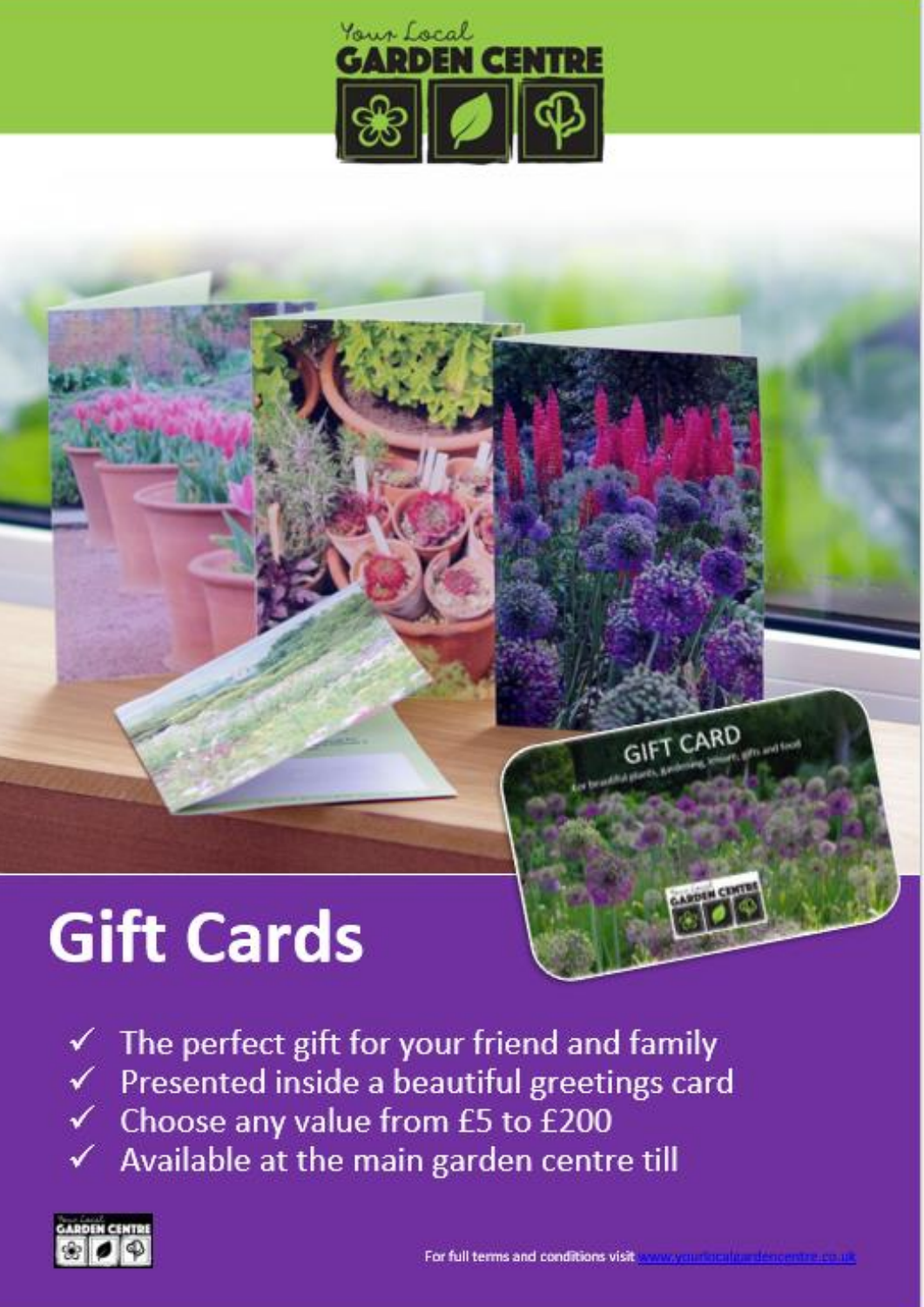

## **Gift Cards**



 $\checkmark$  The perfect gift for your friend and family  $\checkmark$  Presented inside a beautiful greetings card ← Choose any value from £5 to £200 Available at the main garden centre till



**GIFT CARD**